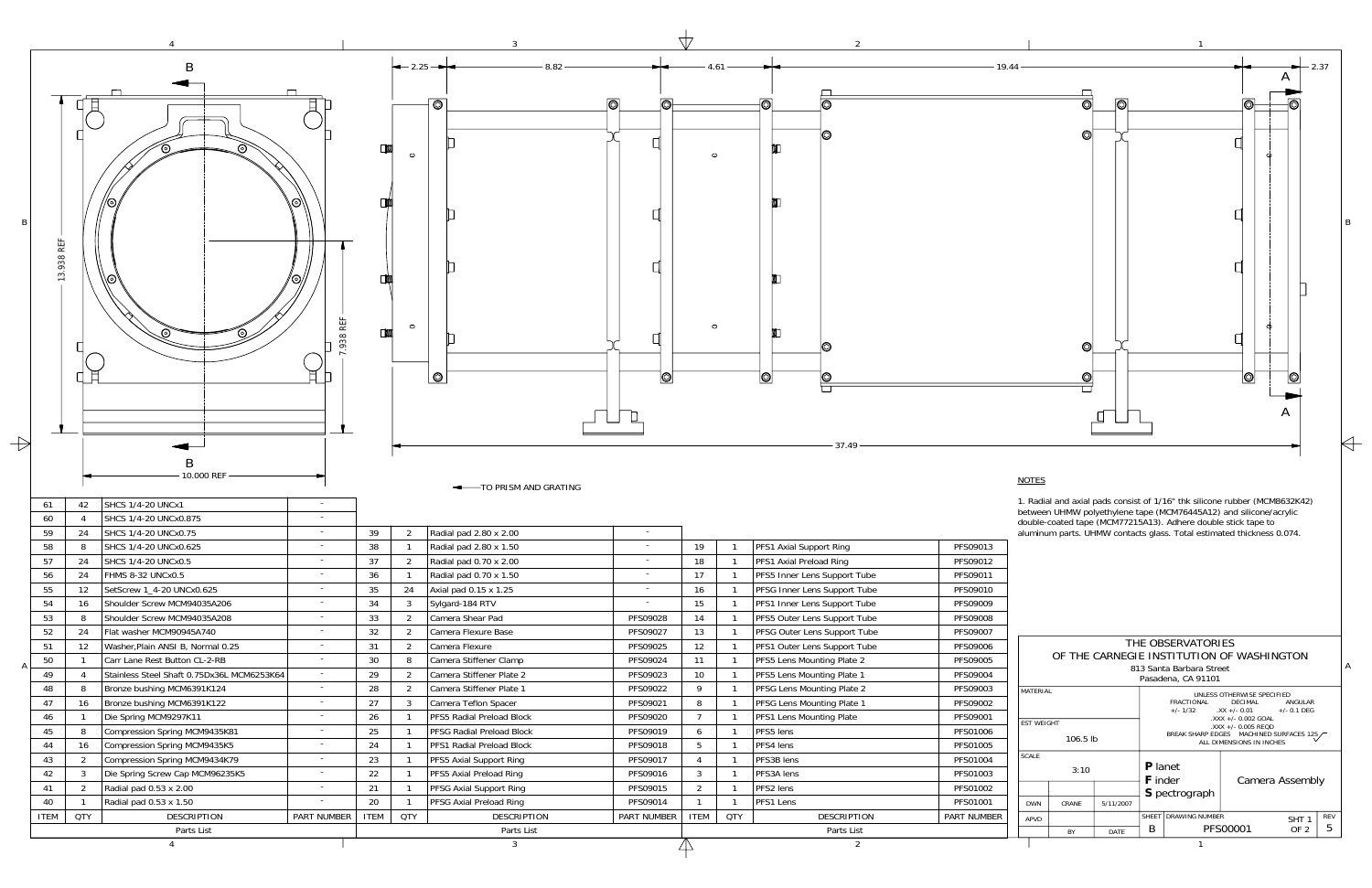